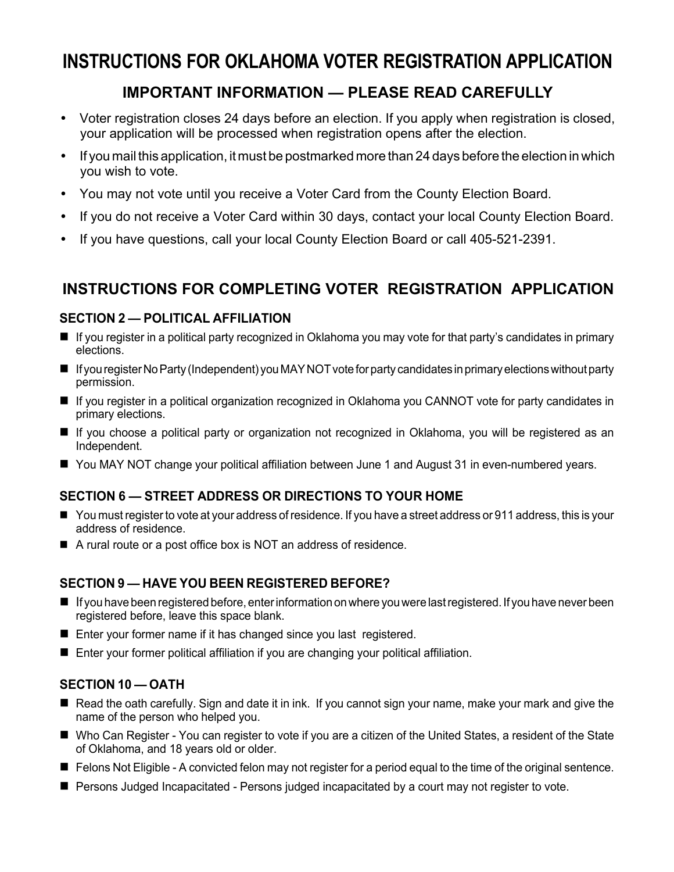## **INSTRUCTIONS FOR OKLAHOMA VOTER REGISTRATION APPLICATION**

## **IMPORTANT INFORMATION — PLEASE READ CAREFULLY**

- Voter registration closes 24 days before an election. If you apply when registration is closed, your application will be processed when registration opens after the election.
- If you mail this application, it must be postmarked more than 24 days before the election in which you wish to vote.
- You may not vote until you receive a Voter Card from the County Election Board.
- If you do not receive a Voter Card within 30 days, contact your local County Election Board.
- If you have questions, call your local County Election Board or call 405-521-2391.

## **INSTRUCTIONS FOR COMPLETING VOTER REGISTRATION APPLICATION**

#### **SECTION 2 — POLITICAL AFFILIATION**

- If you register in a political party recognized in Oklahoma you may vote for that party's candidates in primary elections.
- If you register No Party (Independent) you MAY NOT vote for party candidates in primary elections without party permission.
- If you register in a political organization recognized in Oklahoma you CANNOT vote for party candidates in primary elections.
- If you choose a political party or organization not recognized in Oklahoma, you will be registered as an Independent.
- You MAY NOT change your political affiliation between June 1 and August 31 in even-numbered years.

#### **SECTION 6 — STREET ADDRESS OR DIRECTIONS TO YOUR HOME**

- You must register to vote at your address of residence. If you have a street address or 911 address, this is your address of residence.
- A rural route or a post office box is NOT an address of residence.

#### **SECTION 9 — HAVE YOU BEEN REGISTERED BEFORE?**

- If you have been registered before, enter information on where you were last registered. If you have never been registered before, leave this space blank.
- Enter your former name if it has changed since you last registered.
- Enter your former political affiliation if you are changing your political affiliation.

#### **SECTION 10 — OATH**

- Read the oath carefully. Sign and date it in ink. If you cannot sign your name, make your mark and give the name of the person who helped you.
- Who Can Register You can register to vote if you are a citizen of the United States, a resident of the State of Oklahoma, and 18 years old or older.
- Felons Not Eligible A convicted felon may not register for a period equal to the time of the original sentence.
- **Persons Judged Incapacitated Persons judged incapacitated by a court may not register to vote.**